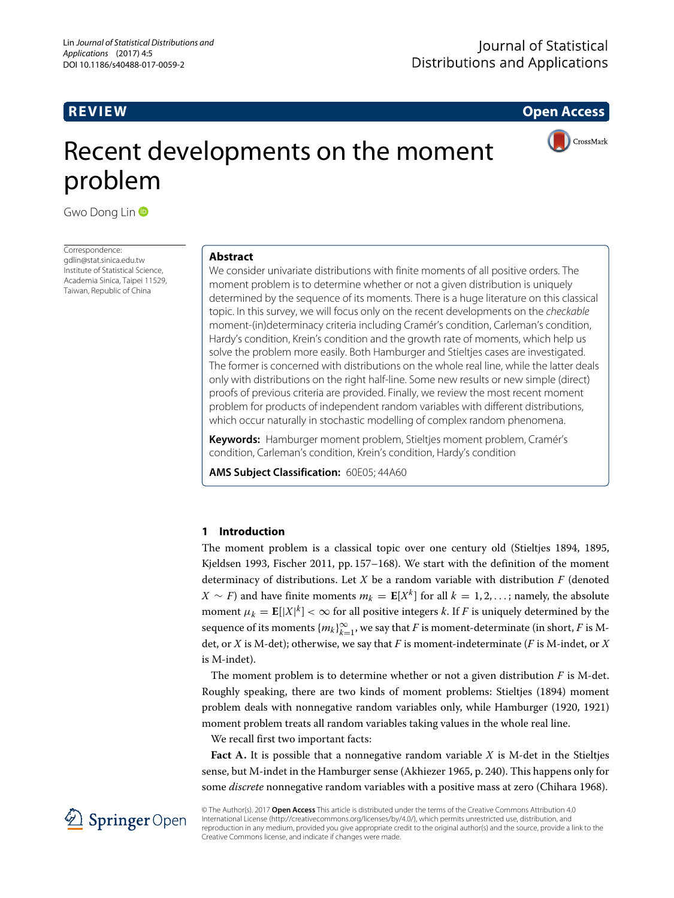**REVIEW Open Access**

CrossMark

# Recent developments on the moment problem

Gwo Dong Lin **D** 

Correspondence: [gdlin@stat.sinica.edu.tw](mailto: gdlin@stat.sinica.edu.tw) Institute of Statistical Science, Academia Sinica, Taipei 11529, Taiwan, Republic of China

## **Abstract**

We consider univariate distributions with finite moments of all positive orders. The moment problem is to determine whether or not a given distribution is uniquely determined by the sequence of its moments. There is a huge literature on this classical topic. In this survey, we will focus only on the recent developments on the checkable moment-(in)determinacy criteria including Cramér's condition, Carleman's condition, Hardy's condition, Krein's condition and the growth rate of moments, which help us solve the problem more easily. Both Hamburger and Stieltjes cases are investigated. The former is concerned with distributions on the whole real line, while the latter deals only with distributions on the right half-line. Some new results or new simple (direct) proofs of previous criteria are provided. Finally, we review the most recent moment problem for products of independent random variables with different distributions, which occur naturally in stochastic modelling of complex random phenomena.

**Keywords:** Hamburger moment problem, Stieltjes moment problem, Cramér's condition, Carleman's condition, Krein's condition, Hardy's condition

**AMS Subject Classification:** 60E05; 44A60

# **1 Introduction**

The moment problem is a classical topic over one century old (Stieltjes [1894,](#page-16-0) 1895, Kjeldsen [1993,](#page-15-0) Fischer [2011,](#page-15-1) pp. 157–168). We start with the definition of the moment determinacy of distributions. Let *X* be a random variable with distribution *F* (denoted *X* ∼ *F*) and have finite moments  $m_k$  = **E**[*X*<sup>*k*</sup>] for all *k* = 1, 2, ... ; namely, the absolute moment  $\mu_k = \mathbf{E}[|X|^k] < \infty$  for all positive integers *k*. If *F* is uniquely determined by the sequence of its moments  $\{m_k\}_{k=1}^\infty$ , we say that  $F$  is moment-determinate (in short,  $F$  is Mdet, or *X* is M-det); otherwise, we say that *F* is moment-indeterminate (*F* is M-indet, or *X* is M-indet).

The moment problem is to determine whether or not a given distribution *F* is M-det. Roughly speaking, there are two kinds of moment problems: Stieltjes [\(1894\)](#page-16-0) moment problem deals with nonnegative random variables only, while Hamburger [\(1920,](#page-15-2) [1921\)](#page-15-3) moment problem treats all random variables taking values in the whole real line.

We recall first two important facts:

**Fact A.** It is possible that a nonnegative random variable *X* is M-det in the Stieltjes sense, but M-indet in the Hamburger sense (Akhiezer [1965,](#page-15-4) p. 240). This happens only for some *discrete* nonnegative random variables with a positive mass at zero (Chihara [1968\)](#page-15-5).



© The Author(s). 2017 **Open Access** This article is distributed under the terms of the Creative Commons Attribution 4.0 International License [\(http://creativecommons.org/licenses/by/4.0/\)](http://creativecommons.org/licenses/by/4.0/), which permits unrestricted use, distribution, and reproduction in any medium, provided you give appropriate credit to the original author(s) and the source, provide a link to the Creative Commons license, and indicate if changes were made.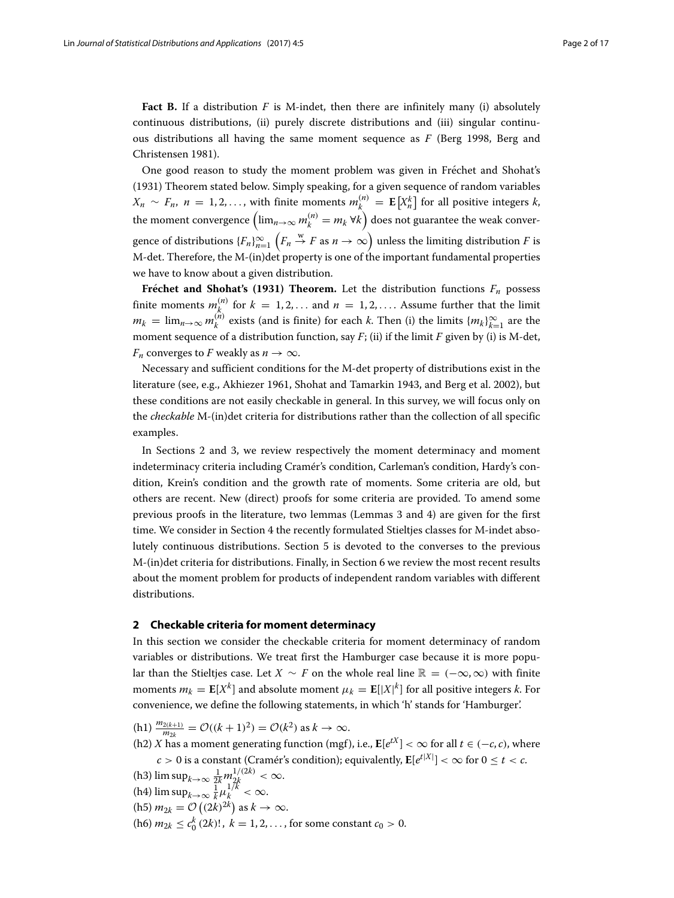**Fact B.** If a distribution  $F$  is M-indet, then there are infinitely many (i) absolutely continuous distributions, (ii) purely discrete distributions and (iii) singular continuous distributions all having the same moment sequence as *F* (Berg [1998,](#page-15-6) Berg and Christensen [1981\)](#page-15-7).

One good reason to study the moment problem was given in Fréchet and Shohat's [\(1931\)](#page-15-8) Theorem stated below. Simply speaking, for a given sequence of random variables *X<sub>n</sub>* ∼ *F<sub>n</sub>*, *n* = 1,2,..., with finite moments  $m_k^{(n)}$  = **E**[X<sup>*k*</sup>]</sub> for all positive integers *k*, the moment convergence  $\left(\lim_{n\to\infty} m_k^{(n)} = m_k \ \forall k\right)$  does not guarantee the weak convergence of distributions  ${F_n}_{n=1}^{\infty}$  $(F_n \overset{w}{\to} F \text{ as } n \to \infty)$  unless the limiting distribution *F* is M-det. Therefore, the M-(in)det property is one of the important fundamental properties we have to know about a given distribution.

**Frechet and Shohat's [\(1931\)](#page-15-8) Theorem.** Let the distribution functions  $F_n$  possess finite moments  $m_k^{(n)}$  for  $k = 1, 2, \ldots$  and  $n = 1, 2, \ldots$ . Assume further that the limit  $m_k = \lim_{n \to \infty} m_k^{(n)}$  exists (and is finite) for each *k*. Then (i) the limits  $\{m_k\}_{k=1}^{\infty}$  are the moment sequence of a distribution function, say *F*; (ii) if the limit *F* given by (i) is M-det, *F<sub>n</sub>* converges to *F* weakly as  $n \to \infty$ .

Necessary and sufficient conditions for the M-det property of distributions exist in the literature (see, e.g., Akhiezer 1961, Shohat and Tamarkin [1943,](#page-16-1) and Berg et al. [2002\)](#page-15-9), but these conditions are not easily checkable in general. In this survey, we will focus only on the *checkable* M-(in)det criteria for distributions rather than the collection of all specific examples.

In Sections [2](#page-1-0) and [3,](#page-5-0) we review respectively the moment determinacy and moment indeterminacy criteria including Cramér's condition, Carleman's condition, Hardy's condition, Krein's condition and the growth rate of moments. Some criteria are old, but others are recent. New (direct) proofs for some criteria are provided. To amend some previous proofs in the literature, two lemmas (Lemmas [3](#page-5-1) and [4\)](#page-7-0) are given for the first time. We consider in Section [4](#page-9-0) the recently formulated Stieltjes classes for M-indet absolutely continuous distributions. Section [5](#page-10-0) is devoted to the converses to the previous M-(in)det criteria for distributions. Finally, in Section [6](#page-12-0) we review the most recent results about the moment problem for products of independent random variables with different distributions.

#### <span id="page-1-0"></span>**2 Checkable criteria for moment determinacy**

In this section we consider the checkable criteria for moment determinacy of random variables or distributions. We treat first the Hamburger case because it is more popular than the Stieltjes case. Let  $X \sim F$  on the whole real line  $\mathbb{R} = (-\infty, \infty)$  with finite moments  $m_k = \mathbf{E}[X^k]$  and absolute moment  $\mu_k = \mathbf{E}[|X|^k]$  for all positive integers *k*. For convenience, we define the following statements, in which 'h' stands for 'Hamburger'.

- $(h1) \frac{m_{2(k+1)}}{m_{2k}} = \mathcal{O}((k+1)^2) = \mathcal{O}(k^2)$  as  $k \to \infty$ .
- (h2) *X* has a moment generating function (mgf), i.e.,  $\mathbf{E}[e^{tX}] < \infty$  for all *t* ∈ (−*c*, *c*), where  $c > 0$  is a constant (Cramér's condition); equivalently,  $\mathbf{E}[e^{t|X|}] < \infty$  for  $0 \le t < c$ .
- (h3)  $\limsup_{k\to\infty} \frac{1}{2k} m_{2k}^{1/(2k)} < \infty$ .
- (h4)  $\limsup_{k\to\infty} \frac{1}{k} \mu_k^{1/k} < \infty$ .
- $(h5)$   $m_{2k} = \mathcal{O}\left((2k)^{2k}\right)$  as  $k \to \infty$ .
- $(h6)$   $m_{2k} \le c_0^k(2k)!$ ,  $k = 1, 2, ...,$  for some constant  $c_0 > 0$ .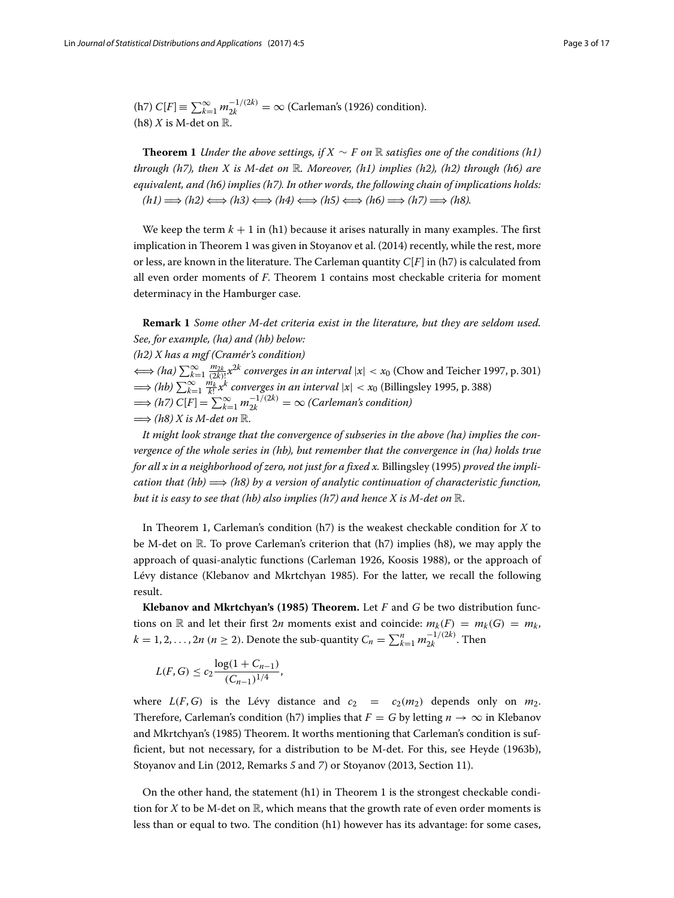(h7) 
$$
C[F] \equiv \sum_{k=1}^{\infty} m_{2k}^{-1/(2k)} = \infty
$$
 (Carleman's (1926) condition).  
(h8) *X* is M-det on R.

<span id="page-2-0"></span>**Theorem 1** *Under the above settings, if*  $X \sim F$  *on* R *satisfies one of the conditions (h1) through (h7), then X is M-det on* R*. Moreover, (h1) implies (h2), (h2) through (h6) are equivalent, and (h6) implies (h7). In other words, the following chain of implications holds:*  $(h1) \implies (h2) \Longleftrightarrow (h3) \Longleftrightarrow (h4) \Longleftrightarrow (h5) \Longleftrightarrow (h6) \implies (h7) \implies (h8).$ 

We keep the term  $k + 1$  in (h1) because it arises naturally in many examples. The first implication in Theorem [1](#page-2-0) was given in Stoyanov et al. [\(2014\)](#page-16-2) recently, while the rest, more or less, are known in the literature. The Carleman quantity *C*[*F*] in (h7) is calculated from all even order moments of *F*. Theorem [1](#page-2-0) contains most checkable criteria for moment determinacy in the Hamburger case.

**Remark 1** *Some other M-det criteria exist in the literature, but they are seldom used. See, for example, (ha) and (hb) below: (h2) X has a mgf (Cramér's condition)*  $\iff$  (ha)  $\sum_{k=1}^{\infty} \frac{m_{2k}}{(2k)!} x^{2k}$  converges in an interval  $|x| < x_0$  (Chow and Teicher [1997,](#page-15-11) p. 301)  $\implies$  (hb)  $\sum_{k=1}^{\infty} \frac{\dot{m_k}}{k!} x^k$  *converges in an interval*  $|x| < x_0$  (Billingsley [1995,](#page-15-12) p. 388)  $\implies$  (h7)  $C[F] = \sum_{k=1}^{\infty} m_{2k}^{-1/(2k)} = ∞$  (Carleman's condition)  $\Longrightarrow$  (h8) X is M-det on  $\mathbb{R}$ .

*It might look strange that the convergence of subseries in the above (ha) implies the convergence of the whole series in (hb), but remember that the convergence in (ha) holds true for all x in a neighborhood of zero, not just for a fixed x.* Billingsley [\(1995\)](#page-15-12) *proved the implication that (hb)* =⇒ *(h8) by a version of analytic continuation of characteristic function, but it is easy to see that (hb) also implies (h7) and hence X is M-det on* R.

In Theorem [1,](#page-2-0) Carleman's condition (h7) is the weakest checkable condition for *X* to be M-det on  $\mathbb R$ . To prove Carleman's criterion that (h7) implies (h8), we may apply the approach of quasi-analytic functions (Carleman [1926,](#page-15-10) Koosis [1988\)](#page-15-13), or the approach of Lévy distance (Klebanov and Mkrtchyan [1985\)](#page-15-14). For the latter, we recall the following result.

**Klebanov and Mkrtchyan's [\(1985\)](#page-15-14) Theorem.** Let *F* and *G* be two distribution functions on R and let their first 2*n* moments exist and coincide:  $m_k(F) = m_k(G) = m_k$ ,  $k = 1, 2, \ldots, 2n \ (n \geq 2).$  Denote the sub-quantity  $C_n = \sum_{k=1}^n m_{2k}^{-1/(2k)}$ . Then

$$
L(F, G) \le c_2 \frac{\log(1 + C_{n-1})}{(C_{n-1})^{1/4}},
$$

where  $L(F, G)$  is the Lévy distance and  $c_2 = c_2(m_2)$  depends only on  $m_2$ . Therefore, Carleman's condition (h7) implies that  $F = G$  by letting  $n \to \infty$  in Klebanov and Mkrtchyan's [\(1985\)](#page-15-14) Theorem. It worths mentioning that Carleman's condition is sufficient, but not necessary, for a distribution to be M-det. For this, see Heyde [\(1963b\)](#page-15-15), Stoyanov and Lin [\(2012,](#page-16-3) Remarks *5* and *7*) or Stoyanov [\(2013,](#page-16-4) Section 11).

On the other hand, the statement (h1) in Theorem [1](#page-2-0) is the strongest checkable condition for  $X$  to be M-det on  $\mathbb R$ , which means that the growth rate of even order moments is less than or equal to two. The condition (h1) however has its advantage: for some cases,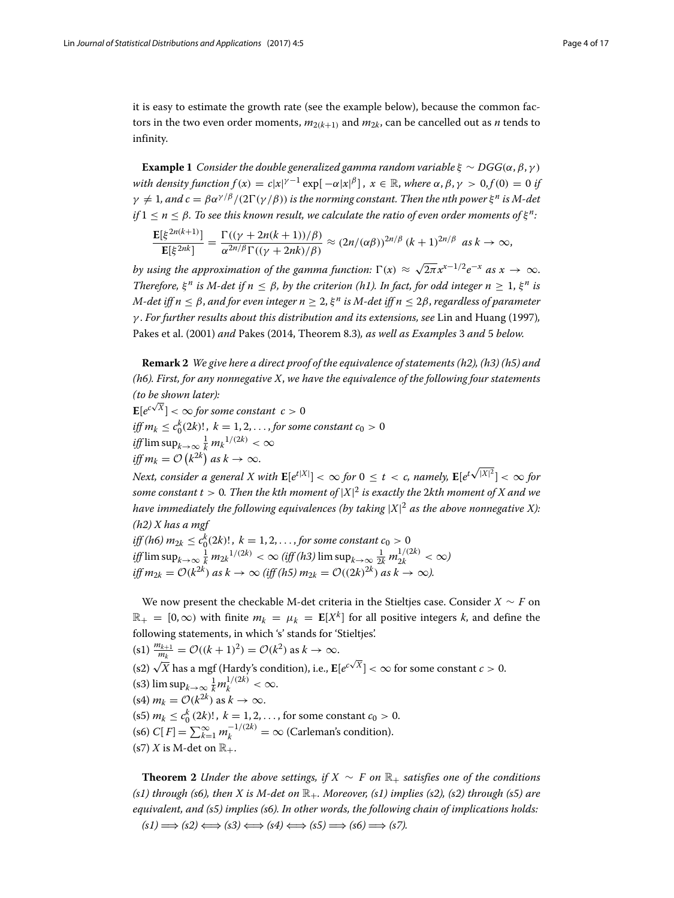it is easy to estimate the growth rate (see the example below), because the common factors in the two even order moments,  $m_{2(k+1)}$  and  $m_{2k}$ , can be cancelled out as *n* tends to infinity.

**Example 1** *Consider the double generalized gamma random variable*  $\xi \sim DGG(\alpha, \beta, \gamma)$ *with density function*  $f(x) = c|x|^{\gamma-1} \exp[-\alpha |x|^{\beta}]$ ,  $x \in \mathbb{R}$ , where  $\alpha, \beta, \gamma > 0, f(0) = 0$  if  $\gamma \neq 1$ , and  $c = \beta \alpha^{\gamma/\beta}/(2\Gamma(\gamma/\beta))$  *is the norming constant. Then the nth power*  $\xi^n$  *is M-det if*  $1 \le n \le \beta$ . To see this known result, we calculate the ratio of even order moments of  $\xi^n$ :

$$
\frac{\mathbf{E}[\xi^{2n(k+1)}]}{\mathbf{E}[\xi^{2nk}]} = \frac{\Gamma((\gamma + 2n(k+1))/\beta)}{\alpha^{2n/\beta}\Gamma((\gamma + 2nk)/\beta)} \approx (2n/(\alpha\beta))^{2n/\beta} (k+1)^{2n/\beta} \text{ as } k \to \infty,
$$

*by using the approximation of the gamma function:*  $\Gamma(x) \approx \sqrt{2\pi} x^{x-1/2} e^{-x}$  *as*  $x \to \infty$ . *Therefore,*  $\xi^n$  *is M-det if*  $n \leq \beta$ *, by the criterion (h1). In fact, for odd integer*  $n \geq 1$ *,*  $\xi^n$  *is M-det iff n* <sup>≤</sup> <sup>β</sup>, *and for even integer n* <sup>≥</sup> 2, <sup>ξ</sup> *<sup>n</sup> is M-det iff n* <sup>≤</sup> <sup>2</sup>β, *regardless of parameter* γ . *For further results about this distribution and its extensions, see* Lin and Huang (1997)*,* Pakes et al. [\(2001\)](#page-16-5) *and* Pakes [\(2014,](#page-16-6) Theorem 8.3)*, as well as Examples* [3](#page-13-0) *and* [5](#page-14-0) *below.*

**Remark 2** *We give here a direct proof of the equivalence of statements (h2), (h3) (h5) and (h6). First, for any nonnegative X*, *we have the equivalence of the following four statements (to be shown later):*

 $\mathbf{E}[e^{c\sqrt{X}}] < \infty$  for some constant  $c > 0$ *iff*  $m_k \leq c_0^k(2k)!$ ,  $k = 1, 2, \ldots$ , for some constant  $c_0 > 0$ *iff* lim  $\sup_{k\to\infty} \frac{1}{k} m_k^{1/(2k)} < \infty$  $\textit{iff } m_k = \mathcal{O}\left(k^{2k}\right)$  as  $k \to \infty$ .

 $\int_{0}^{\infty}$  *Next, consider a general X with*  $\mathbf{E}[e^{t|X|}] < \infty$  for  $0 \le t < c$ , namely,  $\mathbf{E}[e^{t\sqrt{|X|^2}}] < \infty$  for *some constant t* > 0*. Then the kth moment of* |*X*| <sup>2</sup> *is exactly the* 2*kth moment of X and we have immediately the following equivalences (by taking* |*X*| <sup>2</sup> *as the above nonnegative X): (h2) X has a mgf*

*iff (h6)*  $m_{2k} \leq c_0^k(2k)!$  ,  $k = 1, 2, \ldots$  , for some constant  $c_0 > 0$  $\int_{\mathcal{H}} \limsup_{k \to \infty} \frac{1}{k} m_{2k} 1/(2k) < \infty$  (iff (h3)  $\limsup_{k \to \infty} \frac{1}{2k} m_{2k}^{1/(2k)} < \infty$ ) *iff*  $m_{2k} = \mathcal{O}(k^{2k})$  *as*  $k \to \infty$  (*iff* (*h5*)  $m_{2k} = \mathcal{O}((2k)^{2k})$  *as*  $k \to \infty$ ).

We now present the checkable M-det criteria in the Stieltjes case. Consider *X* ∼ *F* on  $\mathbb{R}_+ = [0, \infty)$  with finite  $m_k = \mu_k = \mathbb{E}[X^k]$  for all positive integers *k*, and define the following statements, in which 's' stands for 'Stieltjes'.  $($ s1 $) \frac{m_{k+1}}{m_k} = \mathcal{O}((k+1)^2) = \mathcal{O}(k^2)$  as  $k \to \infty$ . (s2) <sup>√</sup>*<sup>X</sup>* has a mgf (Hardy's condition), i.e., **<sup>E</sup>**[*e<sup>c</sup>* <sup>√</sup>*X*] <sup>&</sup>lt; <sup>∞</sup> for some constant *<sup>c</sup>* <sup>&</sup>gt; 0. (s3)  $\limsup_{k\to\infty} \frac{1}{k} m_k^{1/(2k)} < \infty$ .  $(s4)$   $m_k = \mathcal{O}(k^{2k})$  as  $k \to \infty$ .  $($ s5 $)$   $m_k \leq c_0^k$   $(2k)!$ ,  $k = 1, 2, \ldots$ , for some constant  $c_0 > 0$ .  $f(\text{so}) C[F] = \sum_{k=1}^{\infty} m_k^{-1/(2k)} = \infty$  (Carleman's condition). (s7) *X* is M-det on  $\mathbb{R}_+$ .

<span id="page-3-0"></span>**Theorem 2** *Under the above settings, if*  $X \sim F$  *on*  $\mathbb{R}_+$  *satisfies one of the conditions*  $(s1)$  through  $(s6)$ , then X is M-det on  $\mathbb{R}_+$ . Moreover,  $(s1)$  implies  $(s2)$ ,  $(s2)$  through  $(s5)$  are *equivalent, and (s5) implies (s6). In other words, the following chain of implications holds:*  $(s1) \longrightarrow (s2) \Longleftrightarrow (s3) \Longleftrightarrow (s4) \Longleftrightarrow (s5) \Longrightarrow (s6) \Longrightarrow (s7).$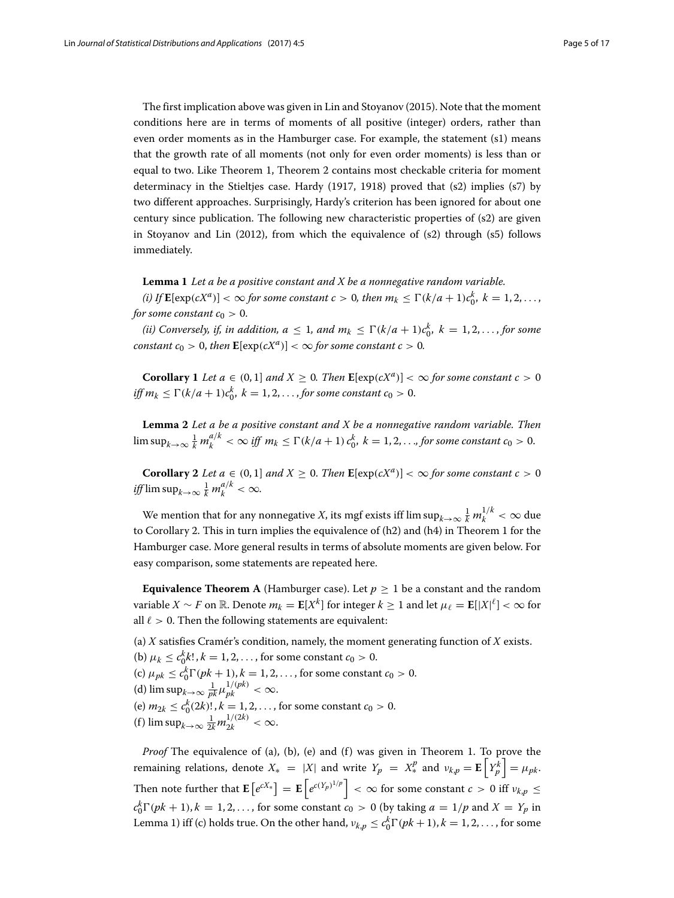The first implication above was given in Lin and Stoyanov [\(2015\)](#page-16-7). Note that the moment conditions here are in terms of moments of all positive (integer) orders, rather than even order moments as in the Hamburger case. For example, the statement (s1) means that the growth rate of all moments (not only for even order moments) is less than or equal to two. Like Theorem [1,](#page-2-0) Theorem [2](#page-3-0) contains most checkable criteria for moment determinacy in the Stieltjes case. Hardy [\(1917,](#page-15-16) [1918\)](#page-15-17) proved that (s2) implies (s7) by two different approaches. Surprisingly, Hardy's criterion has been ignored for about one century since publication. The following new characteristic properties of (s2) are given in Stoyanov and Lin [\(2012\)](#page-16-3), from which the equivalence of (s2) through (s5) follows immediately.

<span id="page-4-1"></span>**Lemma 1** *Let a be a positive constant and X be a nonnegative random variable.*

*(i)* If  $\mathbf{E}[\exp(cX^a)] < \infty$  for some constant  $c > 0$ , then  $m_k \leq \Gamma(k/a + 1)c_0^k$ ,  $k = 1, 2, ...,$ *for some constant*  $c_0 > 0$ .

*(ii)* Conversely, if, in addition,  $a \leq 1$ , and  $m_k \leq \Gamma(k/a + 1)c_0^k$ ,  $k = 1, 2, \ldots$ , for some *constant c*<sub>0</sub> > 0, *then*  $\mathbf{E}[\exp(cX^a)] < \infty$  *for some constant c* > 0*.* 

<span id="page-4-3"></span>**Corollary 1** *Let*  $a \in (0,1]$  *and*  $X \ge 0$ *. Then*  $\mathbf{E}[\exp(cX^a)] < \infty$  for some constant  $c > 0$ *iff*  $m_k \leq \Gamma(k/a + 1)c_0^k$ ,  $k = 1, 2, ...,$  *for some constant*  $c_0 > 0$ .

<span id="page-4-2"></span>**Lemma 2** *Let a be a positive constant and X be a nonnegative random variable. Then*  $\limsup_{k\to\infty}\frac{1}{k}m_k^{a/k}<\infty$  iff  $m_k\leq \Gamma(k/a+1) c_0^k$ ,  $k=1,2,\ldots$  for some constant  $c_0>0$ .

<span id="page-4-0"></span>**Corollary 2** *Let*  $a \in (0,1]$  *and*  $X \ge 0$ *. Then*  $\mathbf{E}[\exp(cX^a)] < \infty$  for some constant  $c > 0$ *iff*  $\limsup_{k\to\infty} \frac{1}{k} m_k^{a/k} < \infty$ .

We mention that for any nonnegative *X*, its mgf exists iff  $\limsup_{k\to\infty} \frac{1}{k} m_k^{1/k} < \infty$  due to Corollary [2.](#page-4-0) This in turn implies the equivalence of (h2) and (h4) in Theorem [1](#page-2-0) for the Hamburger case. More general results in terms of absolute moments are given below. For easy comparison, some statements are repeated here.

**Equivalence Theorem A** (Hamburger case). Let  $p \geq 1$  be a constant and the random variable *X* ∼ *F* on ℝ. Denote  $m_k = \mathbf{E}[X^k]$  for integer  $k \geq 1$  and let  $\mu_\ell = \mathbf{E}[|X|^\ell] < \infty$  for all  $\ell > 0$ . Then the following statements are equivalent:

(a) *X* satisfies Cramér's condition, namely, the moment generating function of *X* exists.

- (b)  $\mu_k \le c_0^k k!$ ,  $k = 1, 2, ...,$  for some constant  $c_0 > 0$ .
- (c)  $\mu_{pk} \le c_0^k \Gamma(pk + 1), k = 1, 2, ...,$  for some constant  $c_0 > 0$ .
- (d)  $\limsup_{k \to \infty} \frac{1}{pk} \mu_{pk}^{1/(pk)} < \infty$ .
- (e)  $m_{2k} \le c_0^k(2k)!$ ,  $k = 1, 2, \ldots$ , for some constant  $c_0 > 0$ .
- (f)  $\limsup_{k\to\infty} \frac{1}{2k} m_{2k}^{1/(2k)} < \infty$ .

*Proof* The equivalence of (a), (b), (e) and (f) was given in Theorem [1.](#page-2-0) To prove the remaining relations, denote  $X_* = |X|$  and write  $Y_p = X_*^p$  and  $v_{k,p} = \mathbf{E}\left[Y_p^k\right] = \mu_{pk}$ . Then note further that  $\mathbf{E}\left[e^{cX_*}\right] = \mathbf{E}\left[e^{c(Y_p)^{1/p}}\right] < \infty$  for some constant  $c > 0$  iff  $\nu_{k,p} \leq$  $c_0^k \Gamma(pk + 1)$ ,  $k = 1, 2, \ldots$ , for some constant  $c_0 > 0$  (by taking  $a = 1/p$  and  $X = Y_p$  in Lemma [1\)](#page-4-1) iff (c) holds true. On the other hand,  $v_{k,p} \le c_0^k \Gamma(pk + 1), k = 1, 2, ...,$  for some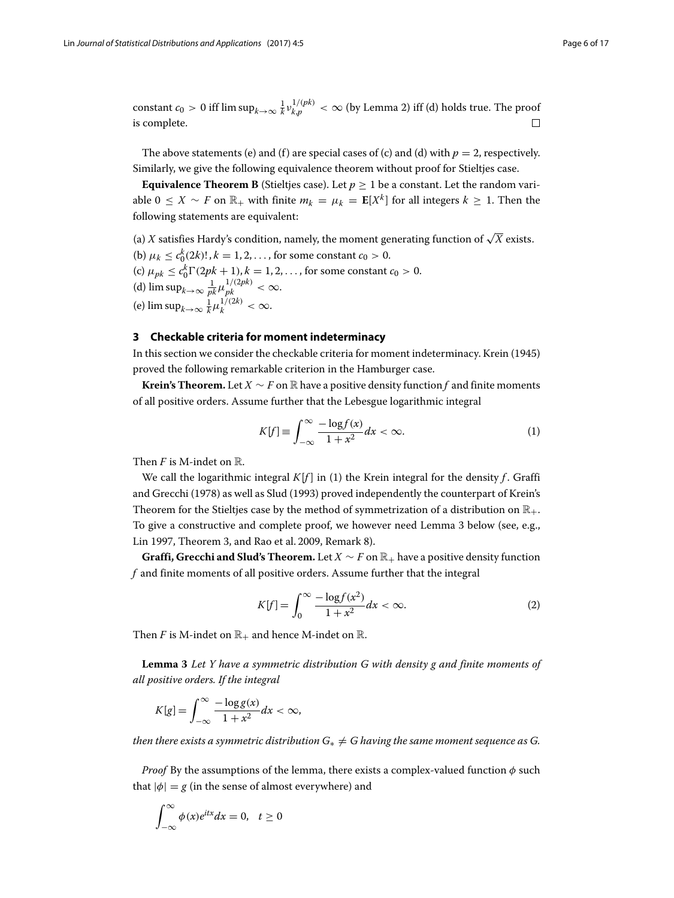constant  $c_0 > 0$  iff  $\limsup_{k \to \infty} \frac{1}{k} v_{k,p}^{1/(pk)} < \infty$  (by Lemma [2\)](#page-4-2) iff (d) holds true. The proof is complete.  $\Box$ 

The above statements (e) and (f) are special cases of (c) and (d) with  $p = 2$ , respectively. Similarly, we give the following equivalence theorem without proof for Stieltjes case.

**Equivalence Theorem B** (Stieltjes case). Let  $p \ge 1$  be a constant. Let the random variable  $0 \le X \sim F$  on  $\mathbb{R}_+$  with finite  $m_k = \mu_k = \mathbb{E}[X^k]$  for all integers  $k \ge 1$ . Then the following statements are equivalent:

(a) *X* satisfies Hardy's condition, namely, the moment generating function of  $\sqrt{X}$  exists. (b)  $\mu_k \le c_0^k(2k)!$ ,  $k = 1, 2, ...,$  for some constant  $c_0 > 0$ . (c)  $\mu_{pk} \le c_0^k \Gamma(2pk + 1), k = 1, 2, ...,$  for some constant  $c_0 > 0$ . (d)  $\limsup_{k\to\infty} \frac{1}{pk} \mu_{pk}^{1/(2pk)} < \infty$ . (e)  $\limsup_{k \to \infty} \frac{1}{k} \mu_k^{1/(2k)} < \infty$ .

# <span id="page-5-0"></span>**3 Checkable criteria for moment indeterminacy**

In this section we consider the checkable criteria for moment indeterminacy. Krein [\(1945\)](#page-16-8) proved the following remarkable criterion in the Hamburger case.

**Krein's Theorem.** Let  $X \sim F$  on  $\mathbb{R}$  have a positive density function f and finite moments of all positive orders. Assume further that the Lebesgue logarithmic integral

$$
K[f] \equiv \int_{-\infty}^{\infty} \frac{-\log f(x)}{1 + x^2} dx < \infty. \tag{1}
$$

Then *F* is M-indet on R.

We call the logarithmic integral  $K[f]$  in (1) the Krein integral for the density  $f$ . Graffi and Grecchi [\(1978\)](#page-15-18) as well as Slud [\(1993\)](#page-16-9) proved independently the counterpart of Krein's Theorem for the Stieltjes case by the method of symmetrization of a distribution on  $\mathbb{R}_+$ . To give a constructive and complete proof, we however need Lemma [3](#page-5-1) below (see, e.g., Lin [1997,](#page-16-10) Theorem [3,](#page-6-0) and Rao et al. [2009,](#page-16-11) Remark 8).

**Graffi, Grecchi and Slud's Theorem.** Let  $X \sim F$  on  $\mathbb{R}_+$  have a positive density function *f* and finite moments of all positive orders. Assume further that the integral

$$
K[f] = \int_0^\infty \frac{-\log f(x^2)}{1 + x^2} dx < \infty. \tag{2}
$$

Then *F* is M-indet on  $\mathbb{R}_+$  and hence M-indet on  $\mathbb{R}$ .

<span id="page-5-1"></span>**Lemma 3** *Let Y have a symmetric distribution G with density g and finite moments of all positive orders. If the integral*

$$
K[g] = \int_{-\infty}^{\infty} \frac{-\log g(x)}{1+x^2} dx < \infty,
$$

*then there exists a symmetric distribution*  $G_* \neq G$  *having the same moment sequence as G.* 

*Proof* By the assumptions of the lemma, there exists a complex-valued function  $\phi$  such that  $|\phi| = g$  (in the sense of almost everywhere) and

$$
\int_{-\infty}^{\infty} \phi(x)e^{itx} dx = 0, \quad t \ge 0
$$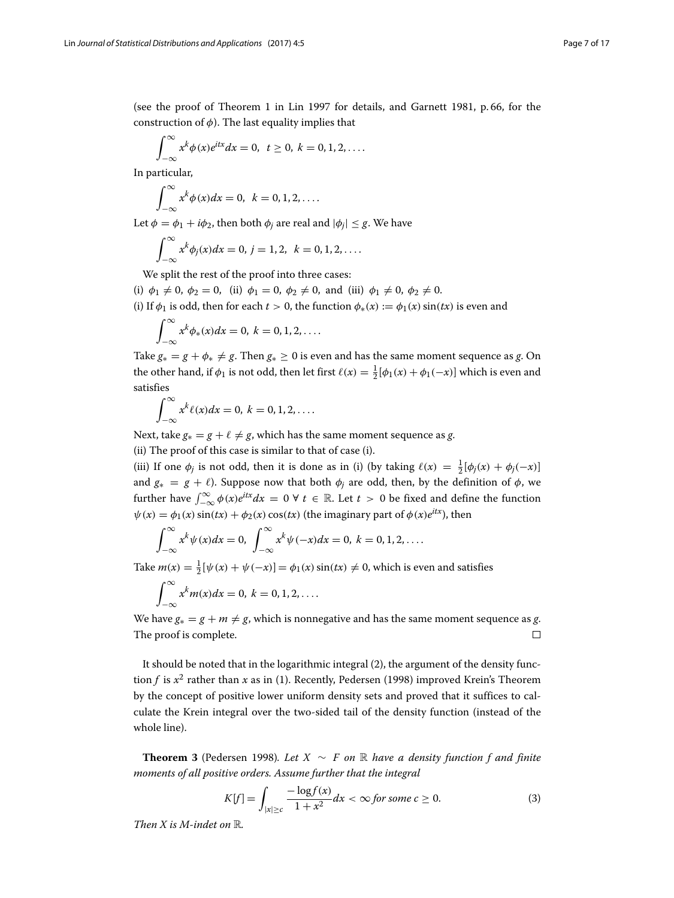(see the proof of Theorem [1](#page-2-0) in Lin [1997](#page-16-10) for details, and Garnett [1981,](#page-15-19) p. 66, for the construction of  $\phi$ ). The last equality implies that

$$
\int_{-\infty}^{\infty} x^k \phi(x) e^{itx} dx = 0, \ t \ge 0, \ k = 0, 1, 2, \ldots
$$

In particular,

$$
\int_{-\infty}^{\infty} x^k \phi(x) dx = 0, \quad k = 0, 1, 2, \dots
$$

Let  $\phi = \phi_1 + i\phi_2$ , then both  $\phi_j$  are real and  $|\phi_j| \leq g$ . We have

$$
\int_{-\infty}^{\infty} x^k \phi_j(x) dx = 0, j = 1, 2, k = 0, 1, 2, ....
$$

We split the rest of the proof into three cases:

(i)  $\phi_1 \neq 0$ ,  $\phi_2 = 0$ , (ii)  $\phi_1 = 0$ ,  $\phi_2 \neq 0$ , and (iii)  $\phi_1 \neq 0$ ,  $\phi_2 \neq 0$ .

(i) If  $\phi_1$  is odd, then for each  $t > 0$ , the function  $\phi_*(x) := \phi_1(x) \sin(tx)$  is even and

$$
\int_{-\infty}^{\infty} x^k \phi_*(x) dx = 0, k = 0, 1, 2, \dots
$$

Take  $g_* = g + \phi_* \neq g$ . Then  $g_* \geq 0$  is even and has the same moment sequence as *g*. On the other hand, if  $\phi_1$  is not odd, then let first  $\ell(x) = \frac{1}{2} [\phi_1(x) + \phi_1(-x)]$  which is even and satisfies

$$
\int_{-\infty}^{\infty} x^k \ell(x) dx = 0, k = 0, 1, 2, \dots
$$

Next, take  $g_* = g + \ell \neq g$ , which has the same moment sequence as *g*.

(ii) The proof of this case is similar to that of case (i).

(iii) If one  $\phi_j$  is not odd, then it is done as in (i) (by taking  $\ell(x) = \frac{1}{2} [\phi_j(x) + \phi_j(-x)]$ and  $g_* = g + \ell$ ). Suppose now that both  $\phi_j$  are odd, then, by the definition of  $\phi$ , we further have  $\int_{-\infty}^{\infty} \phi(x) e^{itx} dx = 0 \ \forall \ t \in \mathbb{R}$ . Let  $t > 0$  be fixed and define the function  $\psi(x) = \phi_1(x) \sin(tx) + \phi_2(x) \cos(tx)$  (the imaginary part of  $\phi(x)e^{itx}$ ), then

$$
\int_{-\infty}^{\infty} x^k \psi(x) dx = 0, \ \int_{-\infty}^{\infty} x^k \psi(-x) dx = 0, \ k = 0, 1, 2, \ldots
$$

Take  $m(x) = \frac{1}{2} [\psi(x) + \psi(-x)] = \phi_1(x) \sin(tx) \neq 0$ , which is even and satisfies

$$
\int_{-\infty}^{\infty} x^k m(x) dx = 0, k = 0, 1, 2, \ldots
$$

We have  $g_* = g + m \neq g$ , which is nonnegative and has the same moment sequence as *g*. The proof is complete.  $\Box$ 

It should be noted that in the logarithmic integral (2), the argument of the density function *f* is *x*<sup>2</sup> rather than *x* as in (1). Recently, Pedersen [\(1998\)](#page-16-12) improved Krein's Theorem by the concept of positive lower uniform density sets and proved that it suffices to calculate the Krein integral over the two-sided tail of the density function (instead of the whole line).

<span id="page-6-0"></span>**Theorem 3** (Pedersen [1998\)](#page-16-12)*. Let X* <sup>∼</sup> *F on* <sup>R</sup> *have a density function f and finite moments of all positive orders. Assume further that the integral*

$$
K[f] = \int_{|x| \ge c} \frac{-\log f(x)}{1 + x^2} dx < \infty \text{ for some } c \ge 0. \tag{3}
$$

*Then X is M-indet on* R*.*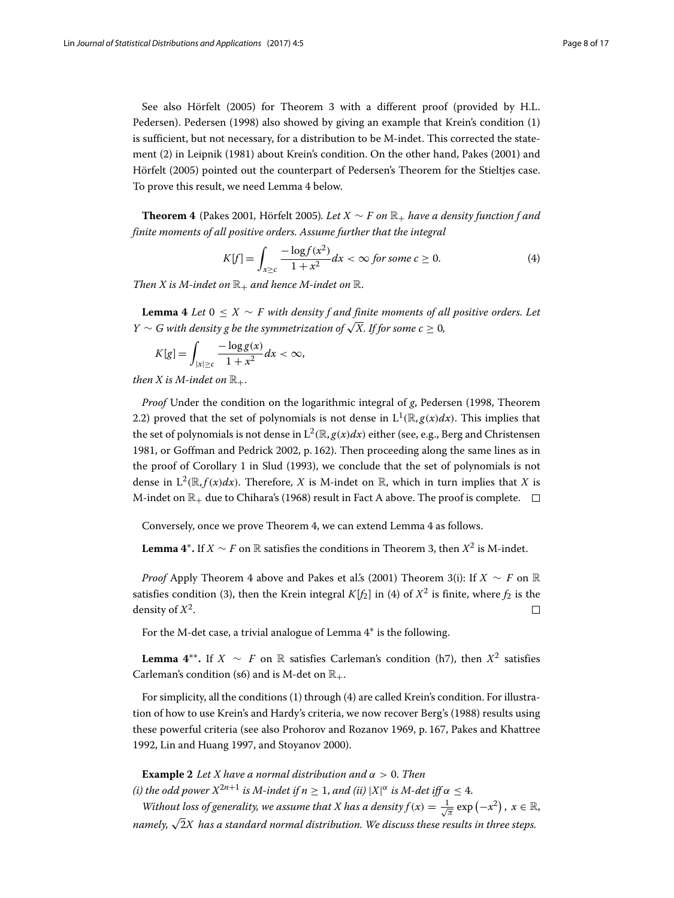See also Hörfelt [\(2005\)](#page-15-20) for Theorem [3](#page-6-0) with a different proof (provided by H.L. Pedersen). Pedersen [\(1998\)](#page-16-12) also showed by giving an example that Krein's condition (1) is sufficient, but not necessary, for a distribution to be M-indet. This corrected the statement (2) in Leipnik [\(1981\)](#page-16-13) about Krein's condition. On the other hand, Pakes [\(2001\)](#page-16-14) and Hörfelt [\(2005\)](#page-15-20) pointed out the counterpart of Pedersen's Theorem for the Stieltjes case. To prove this result, we need Lemma [4](#page-7-0) below.

<span id="page-7-1"></span>**Theorem 4** (Pakes [2001](#page-16-14), Hörfelt [2005\)](#page-15-20). Let  $X \sim F$  on  $\mathbb{R}_+$  have a density function f and *finite moments of all positive orders. Assume further that the integral*

$$
K[f] = \int_{x \ge c} \frac{-\log f(x^2)}{1 + x^2} dx < \infty \text{ for some } c \ge 0. \tag{4}
$$

*Then X is M-indet on*  $\mathbb{R}_+$  *and hence M-indet on*  $\mathbb{R}$ *.* 

<span id="page-7-0"></span>**Lemma 4** *Let*  $0 \leq X \sim F$  *with density f and finite moments of all positive orders. Let Y* ∼ *G* with density g be the symmetrization of  $\sqrt{X}$ . If for some  $c > 0$ ,

$$
K[g] = \int_{|x| \ge c} \frac{-\log g(x)}{1 + x^2} dx < \infty,
$$

*then X* is *M*-indet on  $\mathbb{R}_+$ *.* 

*Proof* Under the condition on the logarithmic integral of *g*, Pedersen [\(1998,](#page-16-12) Theorem 2.2) proved that the set of polynomials is not dense in  $L^1(\mathbb{R}, g(x)dx)$ . This implies that the set of polynomials is not dense in  $L^2(\mathbb{R}, g(x)dx)$  either (see, e.g., Berg and Christensen [1981,](#page-15-7) or Goffman and Pedrick [2002,](#page-15-21) p. 162). Then proceeding along the same lines as in the proof of Corollary [1](#page-4-3) in Slud [\(1993\)](#page-16-9), we conclude that the set of polynomials is not dense in  $L^2(\mathbb{R}, f(x)dx)$ . Therefore, *X* is M-indet on  $\mathbb{R}$ , which in turn implies that *X* is M-indet on  $\mathbb{R}_+$  due to Chihara's [\(1968\)](#page-15-5) result in Fact A above. The proof is complete.  $\Box$ 

Conversely, once we prove Theorem [4,](#page-7-1) we can extend Lemma [4](#page-7-0) as follows.

**Lemma 4<sup>∗</sup>.** If *X* ∼ *F* on R satisfies the conditions in Theorem [3,](#page-6-0) then  $X^2$  is M-indet.

*Proof* Apply Theorem [4](#page-7-1) above and Pakes et al.'s [\(2001\)](#page-16-5) Theorem [3\(](#page-6-0)i): If  $X \sim F$  on R satisfies condition (3), then the Krein integral  $K[f_2]$  in (4) of  $X^2$  is finite, where  $f_2$  is the density of  $X^2$ .  $\Box$ 

For the M-det case, a trivial analogue of Lemma [4](#page-7-0)∗ is the following.

**Lemma 4<sup>∗∗</sup>.** If *X* ~ *F* on R satisfies Carleman's condition (h7), then  $X^2$  satisfies Carleman's condition (s6) and is M-det on  $\mathbb{R}_+$ .

For simplicity, all the conditions (1) through (4) are called Krein's condition. For illustration of how to use Krein's and Hardy's criteria, we now recover Berg's [\(1988\)](#page-15-22) results using these powerful criteria (see also Prohorov and Rozanov [1969,](#page-16-15) p. 167, Pakes and Khattree [1992,](#page-16-16) Lin and Huang 1997, and Stoyanov [2000\)](#page-16-17).

<span id="page-7-2"></span>**Example 2** *Let X have a normal distribution and*  $\alpha > 0$ *. Then (i) the odd power*  $X^{2n+1}$  *is M-indet if*  $n \geq 1$ *, and (ii)*  $|X|^{\alpha}$  *is M-det iff*  $\alpha \leq 4$ *.* 

*Without loss of generality, we assume that X has a density*  $f(x) = \frac{1}{\sqrt{\pi}} \exp(-x^2)$ *,*  $x \in \mathbb{R}$ *, namely,* <sup>√</sup>2*X has a standard normal distribution. We discuss these results in three steps.*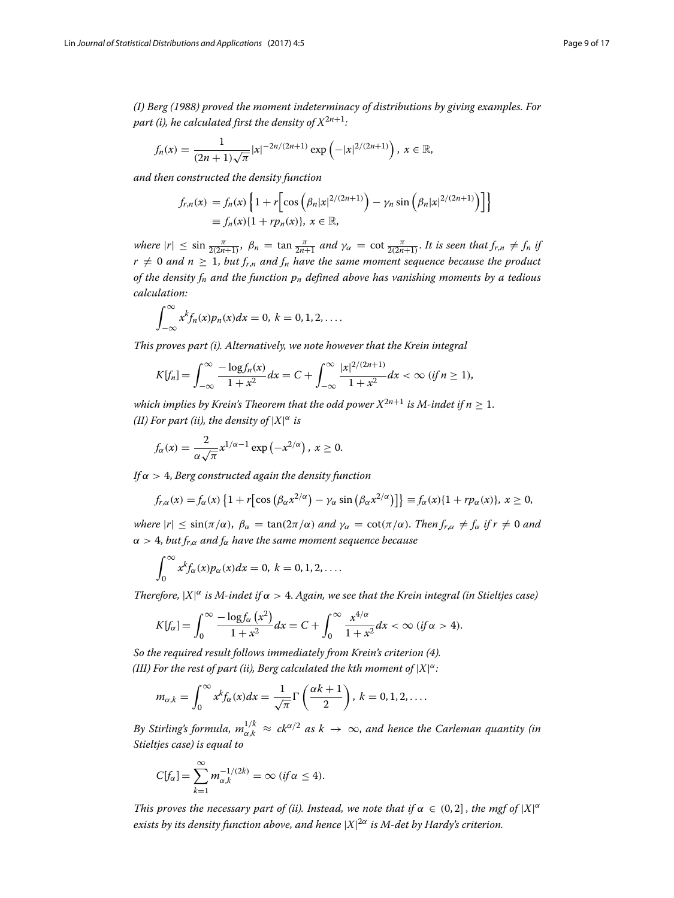*(I) Berg [\(1988\)](#page-15-22) proved the moment indeterminacy of distributions by giving examples. For part (i), he calculated first the density of*  $X^{2n+1}$ *:* 

$$
f_n(x) = \frac{1}{(2n+1)\sqrt{\pi}} |x|^{-2n/(2n+1)} \exp\left(-|x|^{2/(2n+1)}\right), x \in \mathbb{R},
$$

*and then constructed the density function*

$$
f_{r,n}(x) = f_n(x) \left\{ 1 + r \Big[ \cos \Big( \beta_n |x|^{2/(2n+1)} \Big) - \gamma_n \sin \Big( \beta_n |x|^{2/(2n+1)} \Big) \Big] \right\}
$$
  

$$
\equiv f_n(x) \{ 1 + r p_n(x) \}, x \in \mathbb{R},
$$

*where*  $|r| \le \sin \frac{\pi}{2(2n+1)}$ ,  $\beta_n = \tan \frac{\pi}{2n+1}$  and  $\gamma_\alpha = \cot \frac{\pi}{2(2n+1)}$ . It is seen that  $f_{r,n} \ne f_n$  if  $r \neq 0$  and  $n \geq 1$ , but  $f_{r,n}$  and  $f_n$  have the same moment sequence because the product *of the density fn and the function pn defined above has vanishing moments by a tedious calculation:*

$$
\int_{-\infty}^{\infty} x^k f_n(x) p_n(x) dx = 0, k = 0, 1, 2, \ldots
$$

*This proves part (i). Alternatively, we note however that the Krein integral*

$$
K[f_n] = \int_{-\infty}^{\infty} \frac{-\log f_n(x)}{1+x^2} dx = C + \int_{-\infty}^{\infty} \frac{|x|^{2/(2n+1)}}{1+x^2} dx < \infty \ (if \ n \ge 1),
$$

*which implies by Krein's Theorem that the odd power*  $X^{2n+1}$  *is M-indet if n* > 1. *(II) For part (ii), the density of*  $|X|^{\alpha}$  *is* 

$$
f_{\alpha}(x)=\frac{2}{\alpha\sqrt{\pi}}x^{1/\alpha-1}\exp(-x^{2/\alpha}), x\geq 0.
$$

*If* α > 4, *Berg constructed again the density function*

$$
f_{r,\alpha}(x) = f_{\alpha}(x) \left\{ 1 + r \left[ \cos \left( \beta_{\alpha} x^{2/\alpha} \right) - \gamma_{\alpha} \sin \left( \beta_{\alpha} x^{2/\alpha} \right) \right] \right\} \equiv f_{\alpha}(x) \left\{ 1 + r p_{\alpha}(x) \right\}, x \ge 0,
$$

*where*  $|r| \le \sin(\pi/\alpha)$ ,  $\beta_{\alpha} = \tan(2\pi/\alpha)$  *and*  $\gamma_{\alpha} = \cot(\pi/\alpha)$ . *Then*  $f_{r,\alpha} \neq f_{\alpha}$  *if*  $r \neq 0$  *and*  $\alpha > 4$ , *but*  $f_{r,\alpha}$  *and*  $f_{\alpha}$  *have the same moment sequence because* 

$$
\int_0^\infty x^k f_\alpha(x) p_\alpha(x) dx = 0, k = 0, 1, 2, \dots
$$

*Therefore,*  $|X|^{\alpha}$  *is M-indet if*  $\alpha > 4$ . *Again, we see that the Krein integral (in Stieltjes case)* 

$$
K[f_\alpha]=\int_0^\infty\frac{-\log f_\alpha\left(x^2\right)}{1+x^2}dx=C+\int_0^\infty\frac{x^{4/\alpha}}{1+x^2}dx<\infty \ (if\ \alpha>4).
$$

*So the required result follows immediately from Krein's criterion (4).* (III) For the rest of part (ii), Berg calculated the kth moment of  $|X|^{\alpha}$ :

$$
m_{\alpha,k} = \int_0^\infty x^k f_\alpha(x) dx = \frac{1}{\sqrt{\pi}} \Gamma\left(\frac{\alpha k + 1}{2}\right), k = 0, 1, 2, \dots
$$

*By Stirling's formula,*  $m_{\alpha,k}^{1/k} \approx ck^{\alpha/2}$  *as*  $k \to \infty$ *, and hence the Carleman quantity (in Stieltjes case) is equal to*

$$
C[f_{\alpha}] = \sum_{k=1}^{\infty} m_{\alpha,k}^{-1/(2k)} = \infty \ (if \alpha \leq 4).
$$

*This proves the necessary part of (ii). Instead, we note that if*  $\alpha \in (0, 2]$ , the mgf of  $|X|^{\alpha}$ *exists by its density function above, and hence* |*X*| <sup>2</sup><sup>α</sup> *is M-det by Hardy's criterion.*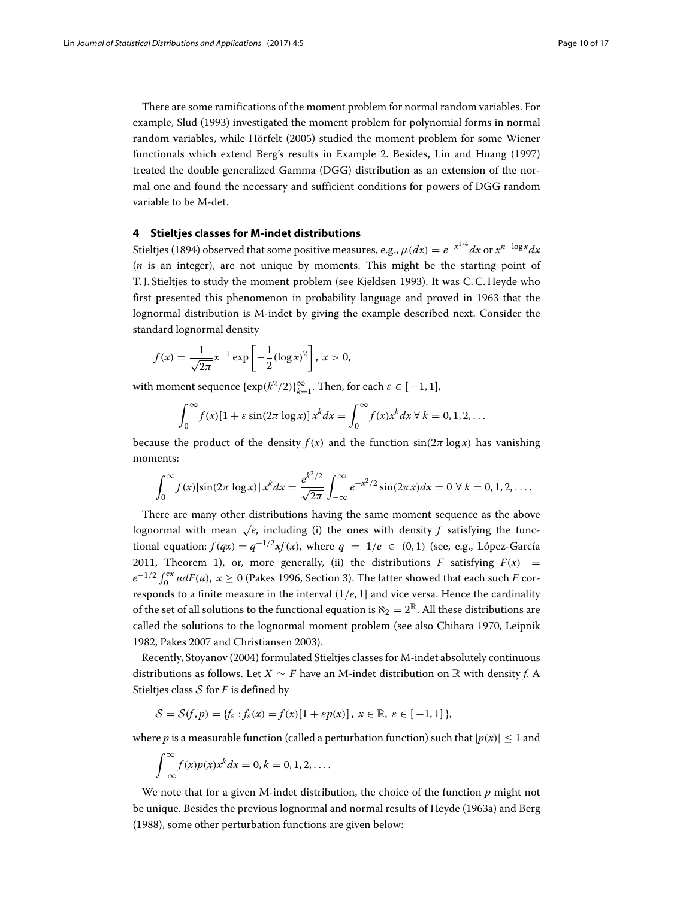There are some ramifications of the moment problem for normal random variables. For example, Slud [\(1993\)](#page-16-9) investigated the moment problem for polynomial forms in normal random variables, while Hörfelt [\(2005\)](#page-15-20) studied the moment problem for some Wiener functionals which extend Berg's results in Example [2.](#page-7-2) Besides, Lin and Huang (1997) treated the double generalized Gamma (DGG) distribution as an extension of the normal one and found the necessary and sufficient conditions for powers of DGG random variable to be M-det.

## <span id="page-9-0"></span>**4 Stieltjes classes for M-indet distributions**

Stieltjes [\(1894\)](#page-16-0) observed that some positive measures, e.g.,  $\mu(dx) = e^{-x^{1/4}} dx$  or  $x^{n-\log x} dx$ (*n* is an integer), are not unique by moments. This might be the starting point of T. J. Stieltjes to study the moment problem (see Kjeldsen [1993\)](#page-15-0). It was C. C. Heyde who first presented this phenomenon in probability language and proved in 1963 that the lognormal distribution is M-indet by giving the example described next. Consider the standard lognormal density

$$
f(x) = \frac{1}{\sqrt{2\pi}} x^{-1} \exp\left[-\frac{1}{2}(\log x)^2\right], x > 0,
$$

with moment sequence  $\{\exp(k^2/2)\}_{k=1}^{\infty}$ . Then, for each  $\varepsilon \in [-1, 1]$ ,

$$
\int_0^\infty f(x)[1+\varepsilon \sin(2\pi \log x)] x^k dx = \int_0^\infty f(x)x^k dx \ \forall \ k = 0, 1, 2, \dots
$$

because the product of the density  $f(x)$  and the function  $sin(2\pi log x)$  has vanishing moments:

$$
\int_0^\infty f(x)[\sin(2\pi \log x)] x^k dx = \frac{e^{k^2/2}}{\sqrt{2\pi}} \int_{-\infty}^\infty e^{-x^2/2} \sin(2\pi x) dx = 0 \ \forall \ k = 0, 1, 2, ....
$$

There are many other distributions having the same moment sequence as the above lognormal with mean  $\sqrt{e}$ , including (i) the ones with density *f* satisfying the functional equation:  $f(qx) = q^{-1/2}xf(x)$ , where  $q = 1/e \in (0, 1)$  (see, e.g., López-García [2011,](#page-16-18) Theorem [1\)](#page-2-0), or, more generally, (ii) the distributions *F* satisfying  $F(x)$  = *e*<sup>−1/2</sup>  $\int_0^{ex} u dF(u)$ ,  $x ≥ 0$  (Pakes [1996,](#page-16-19) Section 3). The latter showed that each such *F* corresponds to a finite measure in the interval (1/*e*, 1] and vice versa. Hence the cardinality of the set of all solutions to the functional equation is  $\aleph_2 = 2^{\mathbb{R}}$ . All these distributions are called the solutions to the lognormal moment problem (see also Chihara [1970,](#page-15-23) Leipnik [1982,](#page-16-13) Pakes [2007](#page-16-20) and Christiansen [2003\)](#page-15-24).

Recently, Stoyanov [\(2004\)](#page-16-21) formulated Stieltjes classes for M-indet absolutely continuous distributions as follows. Let *<sup>X</sup>* <sup>∼</sup> *<sup>F</sup>* have an M-indet distribution on <sup>R</sup> with density *<sup>f</sup>*. A Stieltjes class  $S$  for  $F$  is defined by

$$
\mathcal{S} = \mathcal{S}(f, p) = \{f_{\varepsilon} : f_{\varepsilon}(x) = f(x)[1 + \varepsilon p(x)], x \in \mathbb{R}, \varepsilon \in [-1, 1]\},\
$$

where *p* is a measurable function (called a perturbation function) such that  $|p(x)| \leq 1$  and

$$
\int_{-\infty}^{\infty} f(x)p(x)x^{k}dx = 0, k = 0, 1, 2, \dots
$$

We note that for a given M-indet distribution, the choice of the function *p* might not be unique. Besides the previous lognormal and normal results of Heyde [\(1963a\)](#page-15-25) and Berg [\(1988\)](#page-15-22), some other perturbation functions are given below: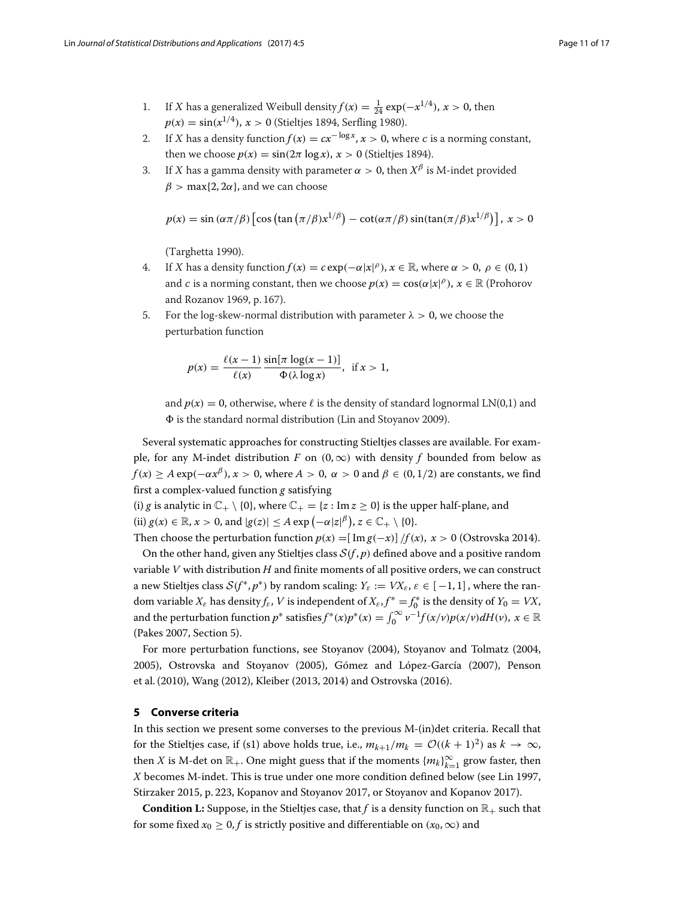- 1. If *X* has a generalized Weibull density  $f(x) = \frac{1}{24} \exp(-x^{1/4})$ ,  $x > 0$ , then  $p(x) = \sin(x^{1/4})$ ,  $x > 0$  (Stieltjes [1894,](#page-16-0) Serfling [1980\)](#page-16-22).
- 2. If *X* has a density function  $f(x) = cx^{-\log x}$ ,  $x > 0$ , where *c* is a norming constant, then we choose  $p(x) = \sin(2\pi \log x)$ ,  $x > 0$  (Stieltjes [1894\)](#page-16-0).
- 3. If X has a gamma density with parameter  $\alpha > 0$ , then  $X^{\beta}$  is M-indet provided  $\beta$  > max{2, 2 $\alpha$ }, and we can choose

$$
p(x) = \sin(\alpha \pi/\beta) \left[ \cos\left(\tan\left(\frac{\pi}{\beta}\right)x^{1/\beta}\right) - \cot(\alpha \pi/\beta) \sin(\tan(\frac{\pi}{\beta})x^{1/\beta}) \right], x > 0
$$

(Targhetta [1990\)](#page-16-23).

- 4. If X has a density function  $f(x) = c \exp(-\alpha |x|^{\rho})$ ,  $x \in \mathbb{R}$ , where  $\alpha > 0$ ,  $\rho \in (0, 1)$ and c is a norming constant, then we choose  $p(x) = \cos(\alpha |x|^{\rho})$ ,  $x \in \mathbb{R}$  (Prohorov and Rozanov [1969,](#page-16-15) p. 167).
- 5. For the log-skew-normal distribution with parameter  $\lambda > 0$ , we choose the perturbation function

$$
p(x) = \frac{\ell(x-1)}{\ell(x)} \frac{\sin[\pi \log(x-1)]}{\Phi(\lambda \log x)}, \text{ if } x > 1,
$$

and  $p(x) = 0$ , otherwise, where  $\ell$  is the density of standard lognormal LN(0,1) and  $\Phi$  is the standard normal distribution (Lin and Stoyanov [2009\)](#page-16-24).

Several systematic approaches for constructing Stieltjes classes are available. For example, for any M-indet distribution *F* on  $(0, \infty)$  with density *f* bounded from below as  $f(x) \ge A \exp(-\alpha x^{\beta})$ ,  $x > 0$ , where  $A > 0$ ,  $\alpha > 0$  and  $\beta \in (0, 1/2)$  are constants, we find first a complex-valued function *g* satisfying

(i) *g* is analytic in  $\mathbb{C}_+ \setminus \{0\}$ , where  $\mathbb{C}_+ = \{z : \text{Im } z \ge 0\}$  is the upper half-plane, and (ii)  $g(x) \in \mathbb{R}, x > 0$ , and  $|g(z)| \le A \exp(-\alpha |z|^{\beta}), z \in \mathbb{C}_+ \setminus \{0\}.$ 

Then choose the perturbation function  $p(x) = \left[\text{Im } g(-x)\right] / f(x), x > 0$  (Ostrovska [2014\)](#page-16-25). On the other hand, given any Stieltjes class  $S(f, p)$  defined above and a positive random variable *V* with distribution *H* and finite moments of all positive orders, we can construct a new Stieltjes class  $S(f^*, p^*)$  by random scaling:  $Y_{\varepsilon} := V X_{\varepsilon}, \varepsilon \in [-1, 1]$ , where the random variable  $X_{\varepsilon}$  has density  $f_{\varepsilon}$ ,  $V$  is independent of  $X_{\varepsilon}$ ,  $f^* = f_0^*$  is the density of  $Y_0 = V X$ , and the perturbation function  $p^*$  satisfies  $f^*(x)p^*(x) = \int_0^\infty v^{-1}f(x/v)p(x/v)dH(v)$ ,  $x \in \mathbb{R}$ (Pakes [2007,](#page-16-20) Section 5).

For more perturbation functions, see Stoyanov [\(2004\)](#page-16-21), Stoyanov and Tolmatz [\(2004,](#page-16-26) [2005\)](#page-16-27), Ostrovska and Stoyanov [\(2005\)](#page-16-28), Gómez and López-García [\(2007\)](#page-15-26), Penson et al. [\(2010\)](#page-16-29), Wang [\(2012\)](#page-16-30), Kleiber [\(2013,](#page-15-27) [2014\)](#page-15-28) and Ostrovska [\(2016\)](#page-16-31).

## <span id="page-10-0"></span>**5 Converse criteria**

In this section we present some converses to the previous M-(in)det criteria. Recall that for the Stieltjes case, if (s1) above holds true, i.e.,  $m_{k+1}/m_k = \mathcal{O}((k+1)^2)$  as  $k \to \infty$ , then *X* is M-det on  $\mathbb{R}_+$ . One might guess that if the moments  $\{m_k\}_{k=1}^{\infty}$  grow faster, then *X* becomes M-indet. This is true under one more condition defined below (see Lin [1997,](#page-16-10) Stirzaker [2015,](#page-16-32) p. 223, Kopanov and Stoyanov [2017,](#page-16-33) or Stoyanov and Kopanov [2017\)](#page-16-34).

**Condition L:** Suppose, in the Stieltjes case, that *f* is a density function on  $\mathbb{R}_+$  such that for some fixed  $x_0 \geq 0$ , *f* is strictly positive and differentiable on  $(x_0, \infty)$  and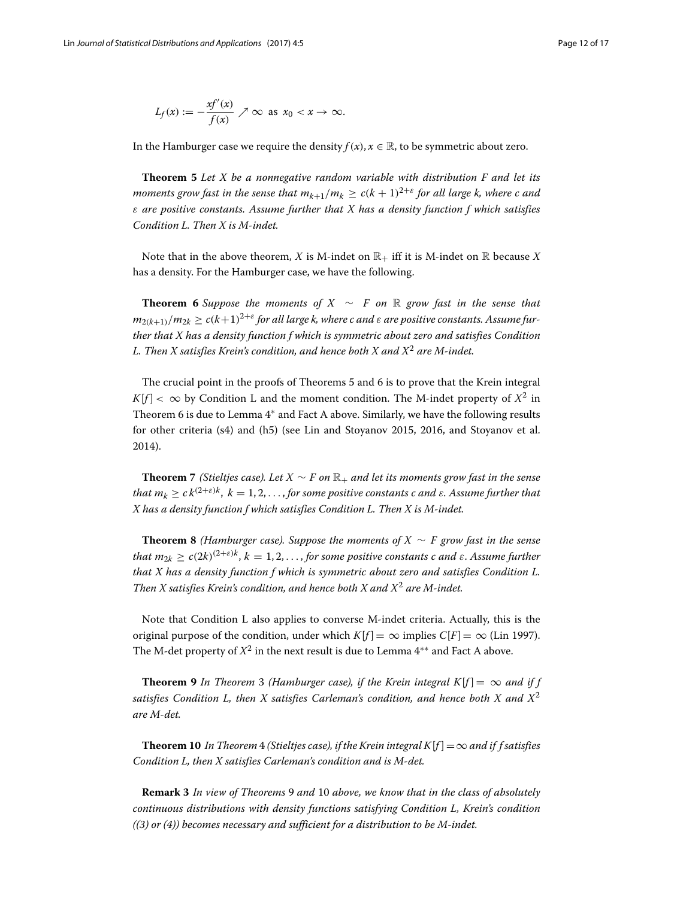$$
L_f(x) := -\frac{x f'(x)}{f(x)} \nearrow \infty \text{ as } x_0 < x \to \infty.
$$

In the Hamburger case we require the density  $f(x)$ ,  $x \in \mathbb{R}$ , to be symmetric about zero.

<span id="page-11-0"></span>**Theorem 5** *Let X be a nonnegative random variable with distribution F and let its moments grow fast in the sense that*  $m_{k+1}/m_k \ge c(k+1)^{2+\epsilon}$  *for all large k, where c and* ε *are positive constants. Assume further that X has a density function f which satisfies Condition L. Then X is M-indet.*

Note that in the above theorem, *X* is M-indet on  $\mathbb{R}_+$  iff it is M-indet on  $\mathbb R$  because *X* has a density. For the Hamburger case, we have the following.

<span id="page-11-1"></span>**Theorem 6** Suppose the moments of  $X \sim F$  on R grow fast in the sense that  $m_{2(k+1)}/m_{2k} \ge c(k+1)^{2+\varepsilon}$  for all large k, where c and  $\varepsilon$  are positive constants. Assume fur*ther that X has a density function f which is symmetric about zero and satisfies Condition L. Then X satisfies Krein's condition, and hence both X and X*<sup>2</sup> *are M-indet.*

The crucial point in the proofs of Theorems [5](#page-11-0) and [6](#page-11-1) is to prove that the Krein integral  $K[f] < \infty$  by Condition L and the moment condition. The M-indet property of  $X^2$  in Theorem [6](#page-11-1) is due to Lemma [4](#page-7-0)∗ and Fact A above. Similarly, we have the following results for other criteria (s4) and (h5) (see Lin and Stoyanov [2015,](#page-16-7) [2016,](#page-16-35) and Stoyanov et al. [2014\)](#page-16-2).

**Theorem 7** *(Stieltjes case). Let*  $X \sim F$  *on*  $\mathbb{R}_+$  *and let its moments grow fast in the sense that m<sub>k</sub>*  $> c k^{(2+\epsilon)k}$ ,  $k = 1, 2, ...,$  *for some positive constants c and ε. Assume further that X has a density function f which satisfies Condition L. Then X is M-indet.*

**Theorem 8** *(Hamburger case). Suppose the moments of X* ∼ *F grow fast in the sense that m*<sub>2</sub> $\epsilon$   $\geq$   $c(2k)^{(2+\epsilon)k}$ ,  $k = 1, 2, \ldots$  *for some positive constants c and ε. Assume further that X has a density function f which is symmetric about zero and satisfies Condition L. Then X satisfies Krein's condition, and hence both X and X*<sup>2</sup> *are M-indet.*

Note that Condition L also applies to converse M-indet criteria. Actually, this is the original purpose of the condition, under which  $K[f] = \infty$  implies  $C[F] = \infty$  (Lin [1997\)](#page-16-10). The M-det property of  $X^2$  in the next result is due to Lemma  $4^{**}$  and Fact A above.

<span id="page-11-2"></span>**Theorem 9** In Theorem [3](#page-6-0) (Hamburger case), if the Krein integral K[ $f$ ] =  $\infty$  and if f *satisfies Condition L, then X satisfies Carleman's condition, and hence both X and X*<sup>2</sup> *are M-det.*

<span id="page-11-3"></span>**Theorem 10** In Theorem [4](#page-7-1) (Stieltjes case), if the Krein integral  $K[f] = \infty$  and if f satisfies *Condition L, then X satisfies Carleman's condition and is M-det.*

**Remark 3** *In view of Theorems* [9](#page-11-2) *and* [10](#page-11-3) *above, we know that in the class of absolutely continuous distributions with density functions satisfying Condition L, Krein's condition ((3) or (4)) becomes necessary and sufficient for a distribution to be M-indet.*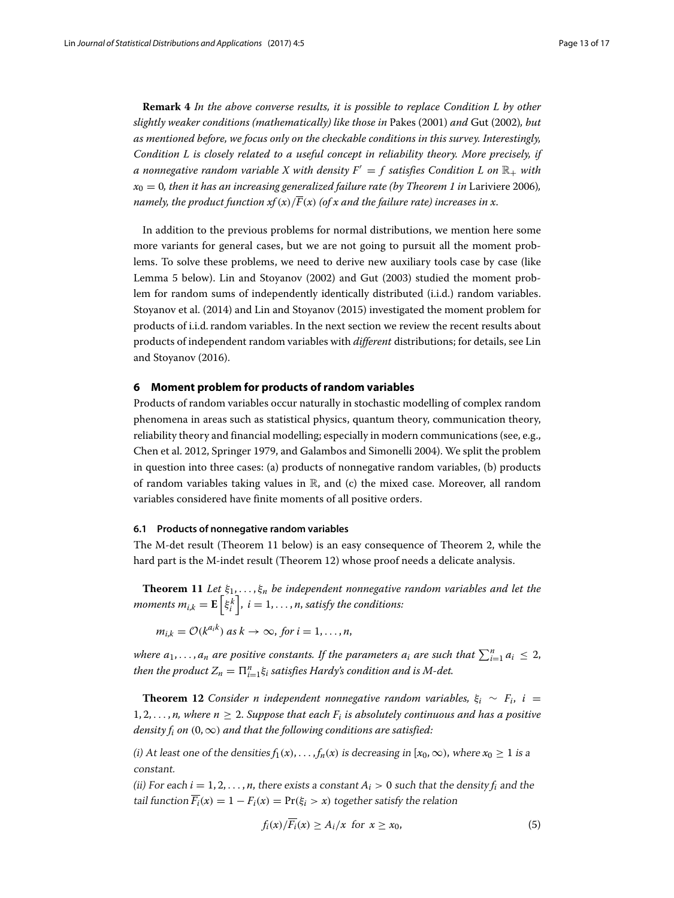**Remark 4** *In the above converse results, it is possible to replace Condition L by other slightly weaker conditions (mathematically) like those in* Pakes [\(2001\)](#page-16-14) *and* Gut [\(2002\)](#page-15-29)*, but as mentioned before, we focus only on the checkable conditions in this survey. Interestingly, Condition L is closely related to a useful concept in reliability theory. More precisely, if a* nonnegative random variable X with density  $F' = f$  satisfies Condition L on  $\mathbb{R}_+$  with  $x_0 = 0$ , then it has an increasing generalized failure rate (by Theorem [1](#page-2-0) in Lariviere [2006\)](#page-16-36), *namely, the product function*  $xf(x)/\overline{F}(x)$  *(of x and the failure rate) increases in x.* 

In addition to the previous problems for normal distributions, we mention here some more variants for general cases, but we are not going to pursuit all the moment problems. To solve these problems, we need to derive new auxiliary tools case by case (like Lemma [5](#page-13-1) below). Lin and Stoyanov [\(2002\)](#page-16-37) and Gut [\(2003\)](#page-15-30) studied the moment problem for random sums of independently identically distributed (i.i.d.) random variables. Stoyanov et al. [\(2014\)](#page-16-2) and Lin and Stoyanov [\(2015\)](#page-16-7) investigated the moment problem for products of i.i.d. random variables. In the next section we review the recent results about products of independent random variables with *different* distributions; for details, see Lin and Stoyanov [\(2016\)](#page-16-35).

### <span id="page-12-0"></span>**6 Moment problem for products of random variables**

Products of random variables occur naturally in stochastic modelling of complex random phenomena in areas such as statistical physics, quantum theory, communication theory, reliability theory and financial modelling; especially in modern communications (see, e.g., Chen et al. [2012,](#page-15-31) Springer [1979,](#page-16-38) and Galambos and Simonelli [2004\)](#page-15-32). We split the problem in question into three cases: (a) products of nonnegative random variables, (b) products of random variables taking values in  $\mathbb R$ , and (c) the mixed case. Moreover, all random variables considered have finite moments of all positive orders.

#### **6.1 Products of nonnegative random variables**

The M-det result (Theorem [11](#page-12-1) below) is an easy consequence of Theorem [2,](#page-3-0) while the hard part is the M-indet result (Theorem [12\)](#page-12-2) whose proof needs a delicate analysis.

<span id="page-12-1"></span>**Theorem 11** *Let*  $\xi_1, \ldots, \xi_n$  *be independent nonnegative random variables and let the* moments  $m_{i,k} = \mathbf{E}\left[ \xi_i^k \right]$ ,  $i = 1, \ldots, n$ , satisfy the conditions:

$$
m_{i,k} = O(k^{a_i k}) \text{ as } k \to \infty, \text{ for } i = 1, \ldots, n,
$$

*where*  $a_1, \ldots, a_n$  *are positive constants. If the parameters*  $a_i$  *are such that*  $\sum_{i=1}^n a_i \leq 2$ *, then the product*  $Z_n = \prod_{i=1}^n \xi_i$  satisfies Hardy's condition and is M-det.

<span id="page-12-2"></span>**Theorem 12** *Consider n independent nonnegative random variables,*  $\xi_i \sim F_i$ ,  $i =$ 1, 2,  $\ldots$ , *n*, where  $n > 2$ . *Suppose that each*  $F_i$  *is absolutely continuous and has a positive density f<sub>i</sub> on*  $(0, \infty)$  *and that the following conditions are satisfied:* 

(i) At least one of the densities  $f_1(x), \ldots, f_n(x)$  is decreasing in  $[x_0, \infty)$ , where  $x_0 > 1$  is a constant.

(ii) For each  $i = 1, 2, \ldots, n$ , there exists a constant  $A_i > 0$  such that the density  $f_i$  and the tail function  $\overline{F_i}(x) = 1 - F_i(x) = Pr(\xi_i > x)$  together satisfy the relation

$$
f_i(x)/\overline{F_i}(x) \ge A_i/x \ \text{for} \ x \ge x_0,\tag{5}
$$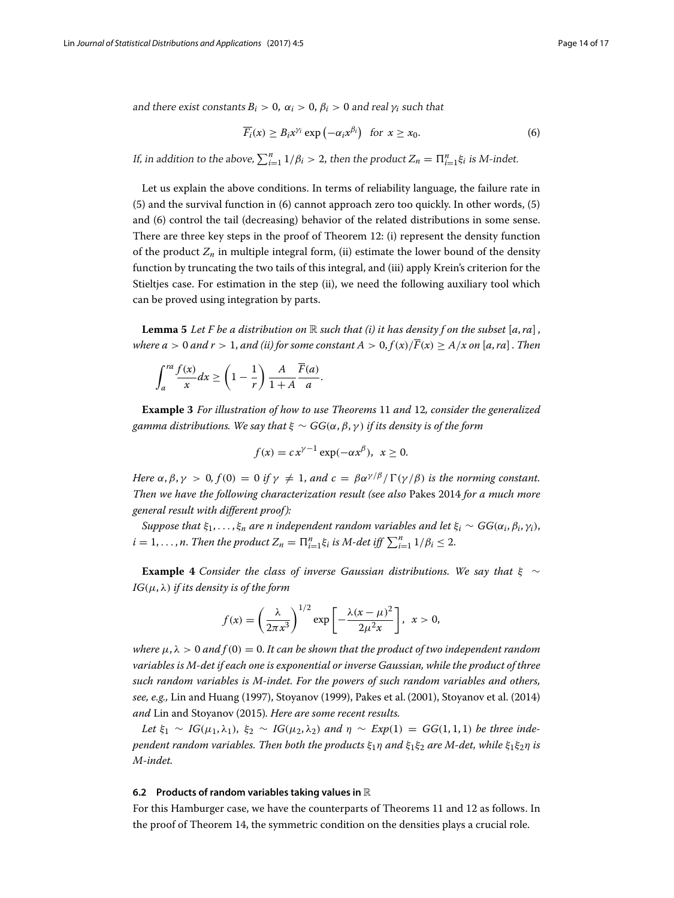and there exist constants  $B_i > 0$ ,  $\alpha_i > 0$ ,  $\beta_i > 0$  and real  $\gamma_i$  such that

$$
\overline{F_i}(x) \ge B_i x^{\gamma_i} \exp\left(-\alpha_i x^{\beta_i}\right) \text{ for } x \ge x_0. \tag{6}
$$

If, in addition to the above,  $\sum_{i=1}^{n} 1/\beta_i > 2$ , then the product  $Z_n = \prod_{i=1}^{n} \xi_i$  is M-indet.

Let us explain the above conditions. In terms of reliability language, the failure rate in (5) and the survival function in (6) cannot approach zero too quickly. In other words, (5) and (6) control the tail (decreasing) behavior of the related distributions in some sense. There are three key steps in the proof of Theorem [12:](#page-12-2) (i) represent the density function of the product  $Z_n$  in multiple integral form, (ii) estimate the lower bound of the density function by truncating the two tails of this integral, and (iii) apply Krein's criterion for the Stieltjes case. For estimation in the step (ii), we need the following auxiliary tool which can be proved using integration by parts.

<span id="page-13-1"></span>**Lemma 5** Let F be a distribution on  $\mathbb R$  such that (i) it has density f on the subset  $[a, ra]$ , *where a* > 0 *and r* > 1, *and (ii) for some constant A* > 0,  $f(x)/\overline{F}(x)$  >  $A/x$  *on* [*a*, *ra*]. *Then* 

$$
\int_{a}^{ra} \frac{f(x)}{x} dx \ge \left(1 - \frac{1}{r}\right) \frac{A}{1+A} \frac{\overline{F}(a)}{a}.
$$

<span id="page-13-0"></span>**Example 3** *For illustration of how to use Theorems* [11](#page-12-1) *and* [12](#page-12-2)*, consider the generalized gamma distributions. We say that*  $\xi \sim GG(\alpha, \beta, \gamma)$  *if its density is of the form* 

$$
f(x) = c x^{\gamma - 1} \exp(-\alpha x^{\beta}), \ \ x \ge 0.
$$

*Here*  $\alpha$ ,  $\beta$ ,  $\gamma > 0$ ,  $f(0) = 0$  *if*  $\gamma \neq 1$ , *and*  $c = \beta \alpha^{\gamma/\beta} / \Gamma(\gamma/\beta)$  *is the norming constant. Then we have the following characterization result (see also* Pakes [2014](#page-16-6) *for a much more general result with different proof ):*

*Suppose that*  $\xi_1, \ldots, \xi_n$  *are n independent random variables and let*  $\xi_i \sim GG(\alpha_i, \beta_i, \gamma_i)$ ,  $i = 1, \ldots, n$ . *Then the product*  $Z_n = \prod_{i=1}^n \xi_i$  *is M-det iff*  $\sum_{i=1}^n 1/\beta_i \leq 2$ .

**Example 4** *Consider the class of inverse Gaussian distributions. We say that* ξ ∼ *IG*(μ, λ) *if its density is of the form*

$$
f(x) = \left(\frac{\lambda}{2\pi x^3}\right)^{1/2} \exp\left[-\frac{\lambda(x-\mu)^2}{2\mu^2 x}\right], \quad x > 0,
$$

*where*  $\mu$ ,  $\lambda > 0$  *and*  $f(0) = 0$ . It can be shown that the product of two independent random *variables is M-det if each one is exponential or inverse Gaussian, while the product of three such random variables is M-indet. For the powers of such random variables and others, see, e.g.,* Lin and Huang (1997), Stoyanov [\(1999\)](#page-16-39), Pakes et al. [\(2001\)](#page-16-5), Stoyanov et al. [\(2014\)](#page-16-2) *and* Lin and Stoyanov [\(2015\)](#page-16-7)*. Here are some recent results.*

Let  $\xi_1 \sim IG(\mu_1, \lambda_1)$ ,  $\xi_2 \sim IG(\mu_2, \lambda_2)$  and  $\eta \sim Exp(1) = GG(1, 1, 1)$  be three inde*pendent random variables. Then both the products*  $\xi_1 \eta$  *and*  $\xi_1 \xi_2$  *are M-det, while*  $\xi_1 \xi_2 \eta$  *is M-indet.*

#### **6.2 Products of random variables taking values in** R

For this Hamburger case, we have the counterparts of Theorems [11](#page-12-1) and [12](#page-12-2) as follows. In the proof of Theorem [14,](#page-14-1) the symmetric condition on the densities plays a crucial role.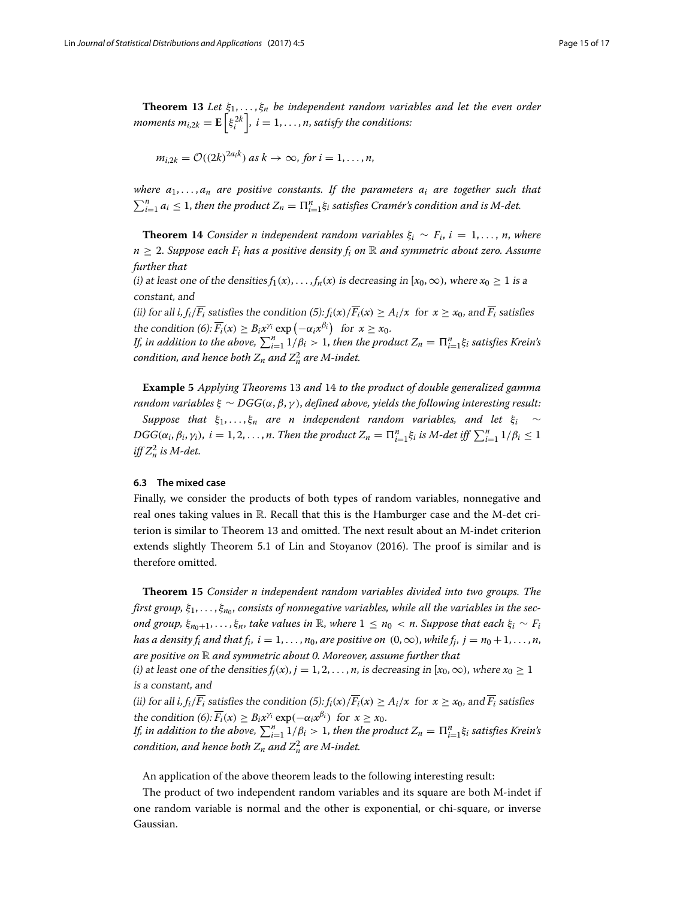<span id="page-14-2"></span>**Theorem 13** *Let*  $\xi_1, \ldots, \xi_n$  *be independent random variables and let the even order moments*  $m_{i,2k} = \mathbf{E}\left[\xi_i^{2k}\right]$ *,*  $i = 1, \ldots, n$ *, satisfy the conditions:* 

$$
m_{i,2k} = \mathcal{O}((2k)^{2a_ik}) \text{ as } k \to \infty, \text{ for } i = 1,\ldots,n,
$$

*where a*1, ... , *an are positive constants. If the parameters ai are together such that*  $\sum_{i=1}^{n} a_i \leq 1$ , *then the product*  $Z_n = \prod_{i=1}^{n} \xi_i$  *satisfies Cramér's condition and is M-det.* 

<span id="page-14-1"></span>**Theorem 14** *Consider n independent random variables*  $\xi_i \sim F_i$ ,  $i = 1, \ldots, n$ , *where*  $n \geq 2$ . *Suppose each*  $F_i$  *has a positive density*  $f_i$  *on*  $\mathbb R$  *and symmetric about zero. Assume further that*

(i) at least one of the densities  $f_1(x), \ldots, f_n(x)$  is decreasing in  $[x_0, \infty)$ , where  $x_0 \ge 1$  is a constant, and

(ii) for all *i*,  $f_i/\overline{F_i}$  satisfies the condition (5):  $f_i(x)/\overline{F_i}(x) \geq A_i/x$  for  $x \geq x_0$ , and  $\overline{F_i}$  satisfies the condition  $(6)$ :  $\overline{F_i}(x) \geq B_i x^{\gamma_i} \exp(-\alpha_i x^{\beta_i})$  for  $x \geq x_0$ .

*If, in addition to the above,*  $\sum_{i=1}^{n} 1/\beta_i > 1$ , *then the product*  $Z_n = \prod_{i=1}^{n} \xi_i$  *satisfies Krein's* condition, and hence both  $Z_n$  and  $Z_n^2$  are M-indet.

<span id="page-14-0"></span>**Example 5** *Applying Theorems* [13](#page-14-2) *and* [14](#page-14-1) *to the product of double generalized gamma random variables*  $\xi \sim DGG(\alpha, \beta, \gamma)$ , *defined above, yields the following interesting result:* 

*Suppose that*  $\xi_1, \ldots, \xi_n$  *are n independent random variables, and let*  $\xi_i \sim$  $DGG(\alpha_i, \beta_i, \gamma_i), i = 1, 2, \ldots, n$ . *Then the product*  $Z_n = \prod_{i=1}^n \xi_i$  *is M-det iff*  $\sum_{i=1}^n 1/\beta_i \leq 1$  $\int \int \int Z_n^2$  *is M-det.* 

## **6.3 The mixed case**

Finally, we consider the products of both types of random variables, nonnegative and real ones taking values in  $\mathbb R$ . Recall that this is the Hamburger case and the M-det criterion is similar to Theorem [13](#page-14-2) and omitted. The next result about an M-indet criterion extends slightly Theorem 5.1 of Lin and Stoyanov [\(2016\)](#page-16-35). The proof is similar and is therefore omitted.

**Theorem 15** *Consider n independent random variables divided into two groups. The* first group,  $\xi_1, \ldots, \xi_{n_0}$ , consists of nonnegative variables, while all the variables in the sec*ond group,*  $\xi_{n_0+1}, \ldots, \xi_n$ , *take values in* R, *where*  $1 \leq n_0 < n$ . *Suppose that each*  $\xi_i \sim F_i$ *has a density f<sub>i</sub> and that f<sub>i</sub>,*  $i = 1, \ldots, n_0$ *, are positive on*  $(0, \infty)$ , *while f<sub>i</sub>,*  $j = n_0 + 1, \ldots, n$ *, are positive on* R *and symmetric about 0. Moreover, assume further that*

(*i*) at least one of the densities  $f_j(x)$ ,  $j = 1, 2, ..., n$ , is decreasing in  $[x_0, \infty)$ , where  $x_0 \ge 1$ is <sup>a</sup> constant, and

(ii) for all *i*,  $f_i/\overline{F_i}$  satisfies the condition (5):  $f_i(x)/\overline{F_i}(x) \geq A_i/x$  for  $x \geq x_0$ , and  $\overline{F_i}$  satisfies the condition (6):  $\overline{F_i}(x) \geq B_i x^{\gamma_i} \exp(-\alpha_i x^{\beta_i})$  for  $x \geq x_0$ .

*If, in addition to the above,*  $\sum_{i=1}^{n} 1/\beta_i > 1$ , *then the product*  $Z_n = \prod_{i=1}^{n} \xi_i$  satisfies Krein's condition, and hence both  $Z_n$  and  $Z_n^2$  are M-indet.

An application of the above theorem leads to the following interesting result:

The product of two independent random variables and its square are both M-indet if one random variable is normal and the other is exponential, or chi-square, or inverse Gaussian.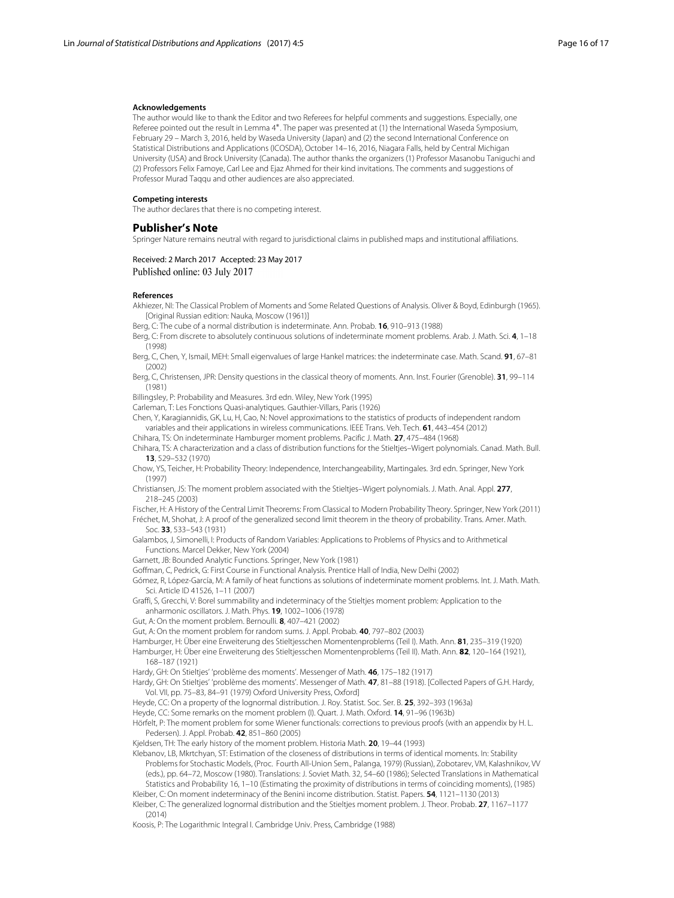#### **Acknowledgements**

The author would like to thank the Editor and two Referees for helpful comments and suggestions. Especially, one Referee pointed out the result in Lemma [4](#page-7-0)∗. The paper was presented at (1) the International Waseda Symposium, February 29 – March 3, 2016, held by Waseda University (Japan) and (2) the second International Conference on Statistical Distributions and Applications (ICOSDA), October 14–16, 2016, Niagara Falls, held by Central Michigan University (USA) and Brock University (Canada). The author thanks the organizers (1) Professor Masanobu Taniguchi and (2) Professors Felix Famoye, Carl Lee and Ejaz Ahmed for their kind invitations. The comments and suggestions of Professor Murad Taqqu and other audiences are also appreciated.

#### **Competing interests**

The author declares that there is no competing interest.

#### **Publisher's Note**

Springer Nature remains neutral with regard to jurisdictional claims in published maps and institutional affiliations.

#### Received: 2 March 2017 Accepted: 23 May 2017 Published online: 03 July 2017

#### **References**

- <span id="page-15-4"></span>Akhiezer, NI: The Classical Problem of Moments and Some Related Questions of Analysis. Oliver & Boyd, Edinburgh (1965). [Original Russian edition: Nauka, Moscow (1961)]
- <span id="page-15-22"></span>Berg, C: The cube of a normal distribution is indeterminate. Ann. Probab. **16**, 910–913 (1988)
- <span id="page-15-6"></span>Berg, C: From discrete to absolutely continuous solutions of indeterminate moment problems. Arab. J. Math. Sci. **4**, 1–18 (1998)
- <span id="page-15-9"></span>Berg, C, Chen, Y, Ismail, MEH: Small eigenvalues of large Hankel matrices: the indeterminate case. Math. Scand. **91**, 67–81 (2002)
- <span id="page-15-7"></span>Berg, C, Christensen, JPR: Density questions in the classical theory of moments. Ann. Inst. Fourier (Grenoble). **31**, 99–114 (1981)
- <span id="page-15-12"></span>Billingsley, P: Probability and Measures. 3rd edn. Wiley, New York (1995)

<span id="page-15-10"></span>Carleman, T: Les Fonctions Quasi-analytiques. Gauthier-Villars, Paris (1926)

- <span id="page-15-31"></span>Chen, Y, Karagiannidis, GK, Lu, H, Cao, N: Novel approximations to the statistics of products of independent random variables and their applications in wireless communications. IEEE Trans. Veh. Tech. **61**, 443–454 (2012)
- <span id="page-15-5"></span>Chihara, TS: On indeterminate Hamburger moment problems. Pacific J. Math. **27**, 475–484 (1968)
- <span id="page-15-23"></span>Chihara, TS: A characterization and a class of distribution functions for the Stieltjes–Wigert polynomials. Canad. Math. Bull. **13**, 529–532 (1970)
- <span id="page-15-11"></span>Chow, YS, Teicher, H: Probability Theory: Independence, Interchangeability, Martingales. 3rd edn. Springer, New York (1997)
- <span id="page-15-24"></span>Christiansen, JS: The moment problem associated with the Stieltjes–Wigert polynomials. J. Math. Anal. Appl. **277**, 218–245 (2003)
- <span id="page-15-8"></span><span id="page-15-1"></span>Fischer, H: A History of the Central Limit Theorems: From Classical to Modern Probability Theory. Springer, New York (2011) Fréchet, M, Shohat, J: A proof of the generalized second limit theorem in the theory of probability. Trans. Amer. Math. Soc. **33**, 533–543 (1931)
- <span id="page-15-32"></span>Galambos, J, Simonelli, I: Products of Random Variables: Applications to Problems of Physics and to Arithmetical Functions. Marcel Dekker, New York (2004)
- <span id="page-15-19"></span>Garnett, JB: Bounded Analytic Functions. Springer, New York (1981)
- <span id="page-15-21"></span>Goffman, C, Pedrick, G: First Course in Functional Analysis. Prentice Hall of India, New Delhi (2002)
- <span id="page-15-26"></span>Gómez, R, López-García, M: A family of heat functions as solutions of indeterminate moment problems. Int. J. Math. Math. Sci. Article ID 41526, 1–11 (2007)
- <span id="page-15-18"></span>Graffi, S, Grecchi, V: Borel summability and indeterminacy of the Stieltjes moment problem: Application to the anharmonic oscillators. J. Math. Phys. **19**, 1002–1006 (1978)
- <span id="page-15-29"></span>Gut, A: On the moment problem. Bernoulli. **8**, 407–421 (2002)
- <span id="page-15-30"></span>Gut, A: On the moment problem for random sums. J. Appl. Probab. **40**, 797–802 (2003)
- <span id="page-15-2"></span>Hamburger, H: Über eine Erweiterung des Stieltjesschen Momentenproblems (Teil I). Math. Ann. **81**, 235–319 (1920)
- Hamburger, H: Über eine Erweiterung des Stieltjesschen Momentenproblems (Teil II). Math. Ann. **82**, 120–164 (1921),
- 168–187 (1921)
- <span id="page-15-16"></span><span id="page-15-3"></span>Hardy, GH: On Stieltjes' 'problème des moments'. Messenger of Math. **46**, 175–182 (1917)
- <span id="page-15-17"></span>Hardy, GH: On Stieltjes' 'problème des moments'. Messenger of Math. **47**, 81–88 (1918). [Collected Papers of G.H. Hardy, Vol. VII, pp. 75–83, 84–91 (1979) Oxford University Press, Oxford]
- <span id="page-15-25"></span>Heyde, CC: On a property of the lognormal distribution. J. Roy. Statist. Soc. Ser. B. **25**, 392–393 (1963a)
- <span id="page-15-15"></span>Heyde, CC: Some remarks on the moment problem (I). Quart. J. Math. Oxford. **14**, 91–96 (1963b)
- <span id="page-15-20"></span>Hörfelt, P: The moment problem for some Wiener functionals: corrections to previous proofs (with an appendix by H. L. Pedersen). J. Appl. Probab. **42**, 851–860 (2005)
- <span id="page-15-0"></span>Kjeldsen, TH: The early history of the moment problem. Historia Math. **20**, 19–44 (1993)
- <span id="page-15-14"></span>Klebanov, LB, Mkrtchyan, ST: Estimation of the closeness of distributions in terms of identical moments. In: Stability Problems for Stochastic Models, (Proc. Fourth All-Union Sem., Palanga, 1979) (Russian), Zobotarev, VM, Kalashnikov, VV (eds.), pp. 64–72, Moscow (1980). Translations: J. Soviet Math. 32, 54–60 (1986); Selected Translations in Mathematical Statistics and Probability 16, 1–10 (Estimating the proximity of distributions in terms of coinciding moments), (1985)
- <span id="page-15-28"></span><span id="page-15-27"></span>Kleiber, C: On moment indeterminacy of the Benini income distribution. Statist. Papers. **54**, 1121–1130 (2013) Kleiber, C: The generalized lognormal distribution and the Stieltjes moment problem. J. Theor. Probab. **27**, 1167–1177 (2014)
- <span id="page-15-13"></span>Koosis, P: The Logarithmic Integral I. Cambridge Univ. Press, Cambridge (1988)